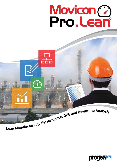



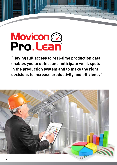# Movicon 2

**"Having full access to real-time production data enables you to detect and anticipate weak spots in the production system and to make the right decisions to increase productivity and efficiency".** 

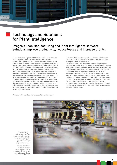# Technology and Solutions for Plant Intelligence

# Progea's Lean Manufacturing and Plant Intelligence software solutions improve productivity, reduce losses and increase profits.

To enable Overall Equipment Effectiveness (OEE) companies need simple but effective tools that can ensure data acquisition, aggregation and transparent analysis with rapid returns (ROI) on minimum investments. The production reality today in an increasingly competitive world demands efficiency and quality with continuous and improved processes according to Lean Manufacturing principles. Automation systems that manage production processes can only be optimized if provided the right information. This can be achieved by using lean tools that are easy to apply but get maximum return. The Movicon Pro.Lean© module offers maximum efficiency using Progea's twenty years of experience in industrial automation software. Often production lines are subject to various causes that weaken performance: malfunction, downtime, scrap and rejects reduce production efficiency, causing economical loss to the company. Companies are usually inadequately equipped to remedy these losses.

indicators (KPI) enables Overall Equipment Effectiveness (OEE) values to be calculated in order to indicate the real plant production efficiency rate.

On average, a well-established manufacturing company performs up to 60% of its full potential performance capacity. This means that for every 100 approved goods produced in an ideal situation, only 60 are actually produced. Considering that the 100% value is purely theoretical, an 'excellent' value of a true lean production would be around 85%. It is easy to imagine how improved production efficiency and an increase in the OEE value would create a noticeable increase in returns for any company, without investing large amounts. For example, it is quite easy to imagine how a mass production manufacturing company can increase profits and reduce loss by improving and increasing their performances by a small percentage.



*Information flows enterprise-wide from production plant system sensors through to the managerial offices, efficiently managing real-time production process. Pro.Lean© is the solution for improving productivity efficiency, reducing loss and increasing profits.* 

The automatic real-time knowledge of the performance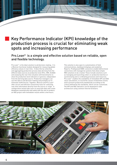# Key Performance Indicator (KPI) knowledge of the production process is crucial for eliminating weak spots and increasing performance

# Pro.Lean<sup>®</sup> is a simple and effective solution based on reliable, open and flexible technology.

Pro.Lean© is the ideal solution to aid decision-making. It is a Movicon functional module designed for measuring global efficiency values in real-time. It does this by collecting and aggregating production process data deriving from the different data sources at production level (PLC, HMI, SCADA) and analyzing the real-time situation with benchmarks to show the production level indicators in general, independent from the deriving data source. Production managers can use this data to aid decision-making and promptly act to eliminate inefficiencies. Together, Movicon and Pro.Lean© offer secure and efficient connectivity tools for collecting real-time information directly from the source or origin. A configuration wizard aids users to associate data and create databases automatically and safely with the aim to produce an OEE project with immediate results within a few hours.

This solution is also open to customization of field communications, dashboard displays and analytical Reports. Predisposed ODBC connectors enable bidirectional connections with managerial systems that allow simple MES solutions to be created. These include solutions such as managing and launching orders or production batches or synchronizing and co-ordinating processes and resources. Pro.Lean© enables the availability of immediate KPI and OEE value calculations, to record the causes of downtime events and to present productivity dashboards according to the criteria defined by the standards, which can be customized. The KPI and OEE indicators can be displayed in web architecture using common Internet browsers.

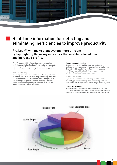# Real-time information for detecting and eliminating inefficiencies to improve productivity

# Pro.Lean© will make plant system more efficient by highlighting those key indicators that enable reduced loss and increased profits.

The KPI indexes, OEE value and downtime production analysis calculated by Pro.Lean© will enable companies to maximize production by increasing productivity in the three main parameters: Availability, Performances and Quality.

### **Increase Efficiency**

Improving local and global production efficiency will enable users to make better use of existing productivity machines and reduce rejects and downtimes. As a consequence this will reduce plant operational costs to satisfy production plans without needing to rely on overtime work and the threat of delayed delivery deadlines.

### **Reduce Machine Downtime**

The downtime analysis will enable you to eliminate anticipated and repetitive problems relating to production. This will enable a reduction in plant downtime events, resulting in a significant reduction in costs and more efficient allocation of human resources.

### **Increase Production**

By increasing efficiency and decreasing downtime events caused by production inactivity or malfunctioning, users can increase the effective production rate of the plant capacity value.

### **Quality Improvement**

By analyzing data for defective productivity users can detect the causes and eliminate them. This reduces production waste and rejects, increasing product quality and client satisfaction.

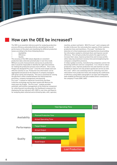# How can the OEE be increased?

The OEE is an essential reference point for analyzing production process efficiency and productivity by calculating the overall performance of the plant and classifying the different production losses according to the three following factors:

- **Availability**
- **Efficiency**
- **Quality**

The accuracy of the OEE values depends on consistent production data collected automatically in real-time mode. Without accurate measurements and access to production data it would be impossible to identify the right interventions for making the production process more efficient. This is why Progea has designed Pro.Lean© to be the most simple and cost effective solution to use. Production line information can be aggregated and placed at the disposal of company managers with great clarity and simplicity. This tool is essential for closing the gap that is often created between the field production processes, company management and planning. Pro.Lean© is based on Industrial Connectivity and Data Collection technology and has been tested with Movicon for many years by Progea. The Pro.Lean© module provides automatic and intuitive management of the Historian component for collecting and recording data, the Dashboard component for displaying the key indicators KPI, OEE) in real-time and Reports for analyzing data collected and archived by date, shift, operator,

machine, product and batch. With Pro.Lean<sup>®</sup> each company will be able to discover the real production capacity of their systems, production lines and machinery. Pro.Lean© facilitates the detection of critical weaknesses and imperfections by providing the information needed to eliminate them and improve overall efficiency. This will give production plants the opportunity to increase their value, improve productivity and increase profits while reducing investment recovery time and strengthening the company's competitive presence.

In today's global economy, manufacturing companies cannot risk becoming inefficient and non-competitive. It is critical to reduce production costs, improve production line and machine use and flexibility to improve not only product quality but service as well. Pro.Lean© offers cost containing tools for collecting real-time information from production flows and analyzing the coefficients of efficiency using tables and graphs in an open and integrated web-enabled architecture that also enables direct connection to the company IT tools (ERP, SAP).

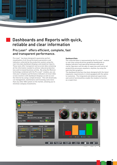

# Pro.Lean© offers efficient, complete, fast and transparent performance.

Pro.Lean© has been designed to guarantee perfect visualization of all the performance parameters and indicators collected by the production system using the real-time data dashboard displays and analytical reports. These tools offer transparent and accurate data containing all the information needed to achieve reduced production loss and increased business activity. By using the Movicon technology combined with the Pro.Lean© module, you can view your company's performance indicators on local video screen monitors with dashboard displays as well as over the Internet by using a simple browser. This will drastically cut management, maintenance and licensing costs more than any other OEE system on the market, allowing you to minimize company investments.

### **Dashboard Data**

The collected data is represented by the Pro.Lean<sup>®</sup> module in real-time using attractive graphical dashboards to display indicators and operating statuses with great clarity. Operators will be able to supervise and control all productivity processes anywhere, anytime, by using the web interface graphics.

The dashboard interface has been designed with the latest ergonomic requirements in mind equipped with the option to customize. The integrated and advanced supervision and control functionalities enable the module to function as a supervisor.

7

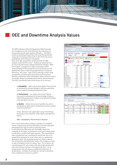

# OEE and Downtime Analysis Values

The OEE indicators (Overall Equipment Effectiveness) are recognized as the most effective key indicators for measuring overall plant system efficiency. The OEE is aimed at assisting enterprises with maximizing market output by increasing productivity in the three key areas: availability, performances and quality.

Real-time data acquisition combined with the OEE analysis make the Pro.Lean© module an essential tool for any manufacturing company business manager. With this module, managers are able to develop a better understanding of the production area performance and identify the factors restricting opportunities to improve efficiency. Pro.Lean© does this by offering a vision-wide perspective correlating the productive and functional aspects, production rates and quality using common metrics to provide unique calculated performance measurements. The OEE calculations take three factors in to account:

> **1. Availability** – takes into account Down Time loss and is calculated on the percentage of effective operating time in respect to planned production time.

> **2. Performance** - ta– takes into account Speed Loss and is calculated on the percentage of pieces effectively produced in respect to programmed target total and ideal run time.

> **3. Quality** - ttakes into account quality loss and is calculated on good pieces produced and total number of pieces produced.

These indicators are applicable using Time Range, Production Line, Machine, Shift, Batch and Operator filters.

### **OEE = Availability\* Performance\* Quality\***

This crucial information enables managers to establish means of improving asset productivity, machine efficiency and production time as well as reducing waste. A calculated low OEE value will inevitably cause the company an increase in production costs and consequently a reduction in profits and opportunities. This would mean that a production line running 24/7 would lose 4% of its productivity potential for every hour lost in a production downtime event. By analyzing production data to detect the bottlenecks and downtime causes, the company is able to take immediate action to reduce loss. For instance, by recovering just 2% loss means that the weekly production rate will retrieve 3.5 hours of productivity time. On an annual basis this will mean an additional 168 hours of productivity. A simple 2% production recovery translates into a significant increase in profits.

|                                              |                                                              |                                           |                                          |                                     |                                              |                       | 第3名 大豆な             |
|----------------------------------------------|--------------------------------------------------------------|-------------------------------------------|------------------------------------------|-------------------------------------|----------------------------------------------|-----------------------|---------------------|
| <b>Model in died, Just</b>                   | 22 MILLIANS - Index to res., 1<br>count 1 Etal 1 stabilidade |                                           |                                          |                                     | boat I been look provided to consider and it |                       |                     |
|                                              |                                                              |                                           |                                          |                                     |                                              |                       |                     |
| <b>Exce</b><br><b>TANGUALE</b>               | 洁                                                            | 2008110451                                | ۰                                        |                                     |                                              |                       | <b>JOANNA HOLLY</b> |
| Brida Warriott Labour                        | $\rightarrow$                                                |                                           |                                          |                                     |                                              |                       |                     |
|                                              |                                                              |                                           |                                          |                                     |                                              |                       |                     |
| 420.0 00<br><b>BLIR.</b>                     | $=$<br><b>College Street</b>                                 |                                           |                                          | M + 1 + 11                          |                                              |                       |                     |
|                                              |                                                              |                                           |                                          |                                     |                                              |                       |                     |
| <b>SIURI Start Time:</b><br><b>Final Car</b> | 10/04/2014 00:00                                             |                                           | <b>Mail Foot Time</b>                    | 10/80/0914 14:00                    | <b>Staff Studenter</b>                       | ٠                     |                     |
| Line/Machine<br>4                            | <b>Linest</b>                                                | $000 -$                                   |                                          |                                     |                                              |                       |                     |
|                                              |                                                              |                                           |                                          |                                     |                                              |                       |                     |
| Availability                                 |                                                              |                                           |                                          |                                     |                                              |                       | <b>CONTRACTOR</b>   |
|                                              |                                                              |                                           |                                          |                                     |                                              |                       |                     |
| License                                      | Availability + 82 S.                                         | <b>BIVI-4+ Australian Ave. 32-5.</b>      |                                          | Analisaddre + 85%                   |                                              |                       |                     |
|                                              | AL 38 88                                                     |                                           |                                          |                                     |                                              |                       |                     |
| <b>Evaluate time (Mostered)</b>              |                                                              |                                           | ٠<br>$\sim$                              |                                     |                                              |                       | ٠                   |
| Printering Inter Bib drawing                 | 41.98.80                                                     |                                           |                                          |                                     |                                              |                       |                     |
| <b>Townships Bit-instead</b>                 | 91.38 M                                                      |                                           |                                          |                                     |                                              |                       |                     |
|                                              |                                                              |                                           |                                          |                                     |                                              |                       |                     |
|                                              |                                                              |                                           | Dewnstme analysis                        |                                     |                                              |                       |                     |
| <b>Glasco</b>                                | To breton<br><b>Black</b> Heaven<br><b>BRINGHOAD</b>         | <b>Reli Avrillon</b><br><b>Silvesnool</b> | <b>Min Automotive</b><br><b>SPANNAGE</b> | Man description<br><b>Binesvind</b> |                                              |                       |                     |
| adams 1.0                                    | 3.44-9.45                                                    | <b>Holland</b>                            | Mode in                                  | MIGH                                |                                              |                       |                     |
| <b>Marina A</b>                              | $+ 34004$                                                    | <b>10.00 %</b>                            | <b>MAIN</b>                              | <b>Industries</b>                   |                                              |                       |                     |
| <b>Harrist A</b>                             | 4.4436.46                                                    | <b>Hillman</b>                            | Mode of                                  | <b>MAG</b>                          |                                              |                       |                     |
| <b>Harrist</b>                               | $+ 344004$                                                   | 10.00 W                                   | <b>Mind</b> on                           | $40.08 - 44$                        |                                              |                       |                     |
| same!                                        | 7 8410-10                                                    | 10:50:10                                  | <b>All site via</b>                      | <b>In so do</b>                     |                                              |                       |                     |
| Libraris.                                    | + here of                                                    | <b>ARCHIVES</b>                           | <b>MONTH</b>                             | <b>Mid-Ac</b>                       |                                              |                       |                     |
| raced 8                                      | 7-4403-14                                                    | <b>ALLEN 18</b>                           | M-R-10                                   | 84.44.44                            |                                              |                       |                     |
| sent f                                       | 1 9444-00                                                    | 10:00 11                                  | <b>Birds on</b>                          |                                     |                                              |                       |                     |
|                                              |                                                              |                                           |                                          | 00.00                               |                                              |                       |                     |
| <b>Harriot</b>                               | 7-8814-40                                                    | 1010110                                   | An Air vol                               | 30444                               |                                              |                       |                     |
| <b>Here's</b>                                | 7 4416-52                                                    | 10.00 %                                   | <b>MACH</b>                              | 3118.81                             |                                              |                       |                     |
| <b>New Determinal</b>                        | 1.481016                                                     | 10.00 %                                   | $10 - 15 - 15$                           | <b>AS 10 RD</b>                     |                                              |                       |                     |
| <b>International Activity</b>                | 4 44 07 31                                                   | <b>HIRT</b>                               | <b>Birth II</b>                          | <b>ALCOHOL</b>                      | count to                                     |                       | <b>68 15:18</b>     |
| <b>Editor Development Algorithment C</b>     | L'ARMEDI                                                     | an as as                                  | <b>An ran vol</b>                        | 49.95.95                            |                                              |                       |                     |
| <b>Lighter Defeated American T</b>           | 1 9412 10                                                    | <b>DESK NC</b>                            | <b>WALLS</b>                             | 宮城県                                 |                                              | Glassy 1-2 10 (11.28) |                     |
| Figures Establish Agust Earl T               | IST \$140.20                                                 | 10:00 10                                  | $10 = 1$                                 | 前柱面                                 |                                              |                       |                     |
| kelleriest freihendingsprofitiege [          | $-44.00 - 4$                                                 | $16.46 + 0.1$                             | $40.46 - 40.$                            | 3914-94                             |                                              | siate i Ethiopis      |                     |
| Indentic Excitements Associated & 2          | 1,48,000.00                                                  | as its is                                 | \$1,500.10                               | 49.48.88                            |                                              |                       |                     |
| Heire Satern recolds I.                      | W. Miller                                                    | <b>COLLEGE TAX</b>                        | <b>Miller</b>                            | motives                             |                                              | <b>Hans L ELIS N</b>  |                     |
| Chiese Thianking Id confirms:                | $+ 1800033$                                                  | <b>DOM: N</b>                             | Modernia                                 | All six-les                         |                                              |                       |                     |
| Inneed Columns of Landwick                   | $6'$ sales as                                                | 10:00 10:                                 | <b>MARCH</b>                             | <b>WILL BE</b>                      | DF Scratpolis 10                             |                       |                     |
| <b>Williams</b>                              | 1.480040                                                     | <b>HENRICK</b>                            | <b>Milled</b>                            | <b>MAG</b>                          |                                              |                       |                     |
| <b>Philadelphia</b>                          | 1 44 (6. m)                                                  | 16.00 00                                  | \$5.00 to                                | 89.03.30                            | Autom Neumon of Lowland 4, 48 SE-10          |                       |                     |
| W 14 Wild and<br>of the acts in              | 1 4410 10<br>124, 53, 65, 65                                 | <b>12 IB 10</b><br>10.00 10               | At ap ol<br><b>Birds of</b>              | 3218.93<br>as kinds                 | Highed Several Federal J.                    | 林英宝                   | <b>ME DE 10</b>     |

|                      |                                                                                                     |            |                 | <b>Statistics lane (cl)</b> |                                           |   | Two Associations |                 |                        | <b>GE alumn</b>    |                               |                       |                     |
|----------------------|-----------------------------------------------------------------------------------------------------|------------|-----------------|-----------------------------|-------------------------------------------|---|------------------|-----------------|------------------------|--------------------|-------------------------------|-----------------------|---------------------|
| m                    | <b>Norway</b>                                                                                       | <b>ALL</b> | job Betriefer   |                             | Indicate out Confuses com . Sold and cost |   | <b>Standard</b>  | $-$             | -                      | <b>Scaladores</b>  | <b><i><u>STERNESS</u></i></b> | <b>Station</b>        | m                   |
| $1$ compared .       |                                                                                                     |            |                 | <b>Side of</b>              | <b>Hotel</b>                              |   | $-1$             | $-1$            | <b>AN</b>              | man                | <b>PEAP IS.</b>               | <b>W.B.V.</b>         | <b>ALIMA</b>        |
|                      | <b>ALC</b>                                                                                          |            | <b>Internal</b> | $-$<br>--<br>$-$            | $\rightarrow$<br>.<br>$-1$                | × | (0, 3)<br>48.0   | $-10$<br>10.16  | $-10 - 10$             | 548<br><b>TIME</b> | art sir la<br><b>TEST</b>     | <b>WIND</b>           | m                   |
|                      | $\frac{1}{2} \left( \frac{1}{2} \right) \left( \frac{1}{2} \right) \left( \frac{1}{2} \right)$<br>w |            | ಯ               | s sent                      | <b>CASE</b>                               | Ŵ | in sit           | 22              | $m = 1$<br><b>Wild</b> | 24.6               |                               | <b>SIFER</b>          |                     |
|                      |                                                                                                     |            |                 | <b>Allen</b>                | A-MA                                      | ۰ | $\frac{1}{2}$    | <b>Milk</b>     |                        | <b>FEBRER</b>      | <b>REN</b>                    | <b>PORT</b>           | y's<br><b>FRANK</b> |
| $1 + 10 + 0 + 1 + 1$ | sand.                                                                                               |            | . .<br>and only | $-46$                       | $1 - 1 = 0$                               | ۰ | <b>MAG</b>       | $-10.46$        | m oc<br><b>MAGE</b>    | <b>STATE</b>       | <b>mm</b> h.<br>$\frac{1}{2}$ | 気動し<br><b>Service</b> |                     |
|                      | <b>Search</b>                                                                                       |            | <b>HALLIST</b>  | $1 - 166$                   | $1 - 146$                                 | ٠ | $40 - 10$        | $m = 1$         | 40.4                   | <b>SIZE</b>        | ---                           | <b>BAN</b>            |                     |
|                      | s                                                                                                   | $0 - 1$    | aan i           | Limited                     | a lated                                   | ¥ | 4.44             | w               | as can                 | <b>STATIST</b>     | 413                           | <b>STER</b>           |                     |
| <b>Johnson</b>       |                                                                                                     |            | . .             | 4104                        | <b>PIPE</b>                               | ٠ | 400              | MM <sup>1</sup> | (em)                   | <b>HALL</b>        | <b>MAFR</b>                   | <b>BIBITE</b>         | <b>HOW</b>          |
|                      |                                                                                                     |            | play of         | $-1$                        | 1.06                                      | ï | $+4$             | $=$             | $+11$                  | <b>Farm</b>        | <b>MAIN</b>                   | жa                    | ٠                   |
|                      | <b>SHE</b>                                                                                          | ٠          | port            | i.                          | $\sim$                                    | ٠ | 44               | 4.4             | $46 - 4$               | <b>San's</b>       | $-1 - 1$                      | aus)                  |                     |
|                      | <b>Section</b>                                                                                      | ×          | pergerant       | 1466                        | <b>A series</b>                           | × | <b>MAG</b>       | <b>MARK</b>     | <b>Model</b>           | $-1$               | <b>HER</b>                    | $-1$                  | 64                  |
|                      |                                                                                                     |            |                 |                             |                                           |   |                  |                 |                        |                    |                               |                       |                     |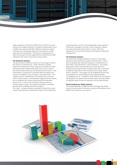

Today, based on a theoretical OEE value of 100%, the most efficient and highly productive company will generally reach an OEE value equal to 80-85%. Without using any control methods most companies operate on average at an OEE value level of around 60%. Therefore it is paramount to take into account how the opportunities offered by the OEE indicators will reduce loss and increase profits.

### **The Downtime Analysis**

The performance indicators alone are not enough to detect the causes of inefficiencies. Data collection systems need to be evaluated for their capacity to provide the right information that enables detection of the macro causes that drive productivity loss and diminish performance. This information is essential to ascertain what and where the causes of inefficiency are in order to eliminate them. This requires the full cooperation of the operators to not just control alarm events, automatically triggered by the system, but to establish the reasons why production downtime events occur in the actual machinery being used (e.g. format change, setup, raw material shortage, scheduled maintenance, meetings and work breaks). Pro.Lean© includes analysis modules for DownTime event causes that generate a statistical analysis of the downtime

causes based on various and configurable reason options. Production managers can refer to this analysis to obtain the vital information they need to recover efficiency, implement corrective intervention and improve production management.

### **The Statistical Analysis**

The DownTime Analysis Module is used for visualizing statistical data relating to production downtimes. This is done by graphically representing data in classification of date order, total duration or event frequency. The values displayed in these classifications are extracted from historicals and represented in graphs that offer a selection of different data filters that include by time range, batch, shift or operator. The graphs can be displayed and printed as histograms or with statistical data represented by overlapping curves. In addition to the statistical calculations and graphics the system also provides data summary tables in detailed report format to represent all the data filtered.

### **Pocket Analysis for Mobile Systems**

The integrated Web and Web Client technology will enable access to performance indicators using any Smartphone and Tablet from wherever you may be!

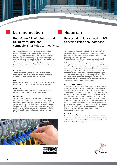# Communication

# Real-Time DB with integrated I/O Drivers, OPC and DB connectors for total connectivity.

Communicating quickly and securely is essential to enable MES systems to provide all the necessary real-time data where needed. With Movicon integrated Pro.Lean© is able to represent the gathering point of process data as a crossroads of the company production system information flow. The strategic role of communication is essential, and Pro.Lean© provides all the necessary tools to ensure that the flow of information is smooth, fast and transparent.

### **I/O Drivers**

The I/O Driver library contains a vast selection of native and integrated I/O Drivers for communicating with control systems (PLC, CNC, instrumentation, Fieldbus).

### **OPC**

Both Client and Server OPC DA, OPC DA XML technology has been integrated. OPC UA is also available as an option.

### **Networking**

Vast network connectivity in distributed workstation networks to include WinCE HMI panels as well.

### **DB Connectors**

Special input and output DB connectors to any database, application or company system using simple shared tables for connecting to any managerial system (ERP) or company SAP systems. This makes Movicon Pro.Lean© the best system for connecting managerial levels with production levels thus enterprise-wide connectivity to make production data easily available to top company levels in real time.





# Historian

## Process data is archived in SQL Server<sup>™</sup> relational database.

All the process data collected by Movicon Pro.Lean<sup>®</sup> is recorded and archived for subsequent analysis using the Data Logger objects that are created automatically by the Pro.Lean© configuration wizard.

The configurator enables simple data aggregation and defines the recording and archiving modes. This important task guarantees the simplicity, reliability and openness concepts. It is not necessary to have a Microsoft SQL Server license for Pro.Lean© to work in a simple architecture. The data tables are structured automatically and the calculation database provides all the information needed for quick and effective analysis in dashboard and analytical report viewers. The simple object-based configuration enables real-time data to be custom managed, displayed and recorded due to the Movicon platform architecture design where Pro.Lean<sup>®</sup> is a functional module.

### **Data collection openness**

The collection of alarm data and machine downtime event, if not already available as digital information from the PLC, may require HMI interface on the local production monitor. The Pro.Lean© architecture is ideal for connecting remote workstation terminals, whether Web-based or local HMI on operator panels based on Windows CE at a low cost. The Pro.Lean© system has powerful and integrated tools to enable collection points of data containing information on downtime events when required. In cases where operator workstations are already equipped with an HMI system, the Movicon Pro.Lean© web interface can easily be installed internally to protect investments without needing any complicated interventions.

### **Data Redundancy**

Movicon Pro.Lean© offers a Data Redundancy function for automatic synchronization of historical data in PC systems with redundant hardware and communications in "Mission Critical" data collection systems.

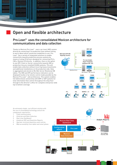

# Open and flexible architecture

# Pro.Lean© uses the consolidated Movicon architecture for communications and data collection

Thanks to Movicon Pro.Lean© users can insert MES system directly by connecting it to production lines without having to worry about which connection modalities to use. Pro. Lean© has a variety of integrated solutions to enable connectivity towards production process systems by means of using I/O drivers designed for connecting PLCs, CNCs, Remote I/O directly. In addition, there is the option to use OPC Client or Server connectivity towards HMI or production line pre-installed SCADA systems. This will enable data collection without incurring heavy investments and additional installations on the production side. Data is aggregated and stored on Ms SQL Server Relational DB tables. The OEE and KPI performance indicators can be displayed locally or by remote control made possible by the Movicon Pro.Lean© web architecture. This system enables full bidirectional connectivity with ERP or SAP systems for total information flow control throughout the shop floor through to the director's office for complete enterprise-wide top to bottom coverage.



*An extremely simple, cost efficient solution with the use of consolidated technology and all the components required for:*

- *1. Field communication*
- *2. Historian and Data Collection*
- *3. Real-time Dashboard*
- *4. Analytical OEE and Downtime Reports*
- *5. Operator terminal downtime event entries*
- *6. Web accessibility from tablet and smart phone*

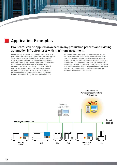# Application Examples

# Pro.Lean<sup>®</sup> can be applied anywhere in any production process and existing automation infrastructures with minimum investment.

Pro.Lean© is a "standard" solution that can be used in all production data and analysis applications. It can be applied as an onboard machine module or as a production line supervisory module combined with the Movicon SCADA/ HMI supervision projects, or in independent or stand-alone architectures applied in already existing systems. Pro.Lean© can connect to existing PLCs or SCADA/HMI by collecting production information in its databases. Existing PCs can be used by the local machine operator to track downtime event entries by using a simple web browser (without modifying the local application) if the

PC is connected to a network or simple operator panels that are connectable to Pro.Lean© . Pro.Lean© also offers a solution for those without a main Supervisor, whereby display screens can be integrated to manage all production line information. This has all been designed with the best technology available for collecting, managing and analyzing production data along with the purpose to keep investments reduced to a minimum without having to modify existing situations unless absolutely required.

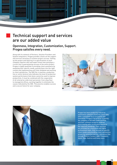

# Technical support and services are our added value

# Openness, Integration, Customization, Support. Progea satisfies every need.

Along with its network of Partners, Solution Providers and System Integrators, Progea provides clients all the support and services necessary to achieve project success. Setting up the project and tailoring it to specifications of each company requires skill and expert know-how and plays a crucial role in guaranteeing success of the entire project. Progea is highly qualified in providing client assistance by analyzing their specific needs, putting them into the right context and implementing until fully validated and working to client satisfaction. The OEE (for a machine, production line or entire factory) only indicates the level of production system performance that alone cannot be used to improve productivity. It must be combined with the cooperation of all enterprise-wide level personnel, from shop floor to managerial offices, working together to eliminate the causes indicated by the OEE. This practice enables success and a secure future for your company.





Progea has been producing industrial automation software platforms since 1990, with a consistent focus on quality and innovation. Progea's top priority is quality: the company is ISO 9001:2008 certified and their software products undergo strict testing with certification based on the required standards. Their services are provided by a motivated and highly professional team, fully focused on specific client needs and providing client satisfaction proven by numerous partner references that include Phoenix Contact, ABB, Panasonic, Asem, Vipa, Suetron and many more.

13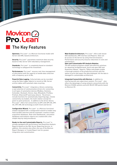# Movicon 2

# The Key Features

**Openness.** Pro.Lean© is a Movicon functional model with Server and XML-based architecture.

Security. Pro.Lean<sup>®</sup> guarantees maximum data security based on SQL Server with redundancy management.

Standards. Pro.Lean<sup>®</sup> is completely based on standard technology to safeguard the investment.

**Performances.** Pro.Lean© ensures real-time management of information with the capacity to handle data collection with a frequency up to 10 Ms.

**Powerful Data Logging.** Collected data can be recorded using the Data Logger objects to record on SQL Server archive tables with automatic data recycling.

**Connectivity.** Pro.Lean© integrates a library containing a vast selection of communication drivers for connecting to all types of automation devices (Modbus, Siemens, Schneider, Rockwell, Omron, Saia, Mitsubishi, Profibus, Profinet, Ethernet/IP and many others). The drivers include functions for automatically importing tags, remote connectivity via modem, the multi-station concept for point-to-point protocols. In addition to the driver library Pro.Lean© offers full connectivity via OPC with OPC DA, OPC UA, OPC XML DA technology as both Client and Server.

**Configuration Wizard.** Pro.Lean© is a Movicon functional module equipped with a configuration wizard to enable easy field variable selection and the automatic creation of data acquisition databases. Real-time Dashboards, calculation databases and analysis reports are created with a few simple step-by-step procedures.

**Ready-to-Use and Customizable Reports.** Pro.Lean© is already equipped with performance and Downtime Analysis Reports based on the SQL Server Reporting Service. In addition, this solution also offers the use of the Movicon Report Designer or Crystal Report tool for greater integration and customization.

**Web-Enabled Architecture.** Pro.Lean© offers web-based OEE dashboards, HMI interface and Reports. Data can be access on the Server by using Internet browsers. Performance and security ensures reductions in costs and maintenance.

### **Open and Customizable KPI Analysis Modules.**

The KPI analysis proposes simple and effective solutions for obtaining straightforward, quick and open OEE and Downtime indexes. Reports, Tables and graphs enable a thorough analysis of the production process with the option to print and export the data displayed. All the data is managed in customizable architecture.

**Integrated Connectivity with Movicon.** In addition to interfacing with any supervisory system, Pro.Lean<sup>®</sup> also offers the advantage of using network connectivity with the Movicon SCADA systems and with WinCE HMI panels based on Movicon CE.

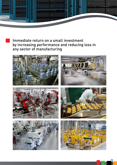

# Immediate return on a small investment by increasing performance and reducing loss in any sector of manufacturing